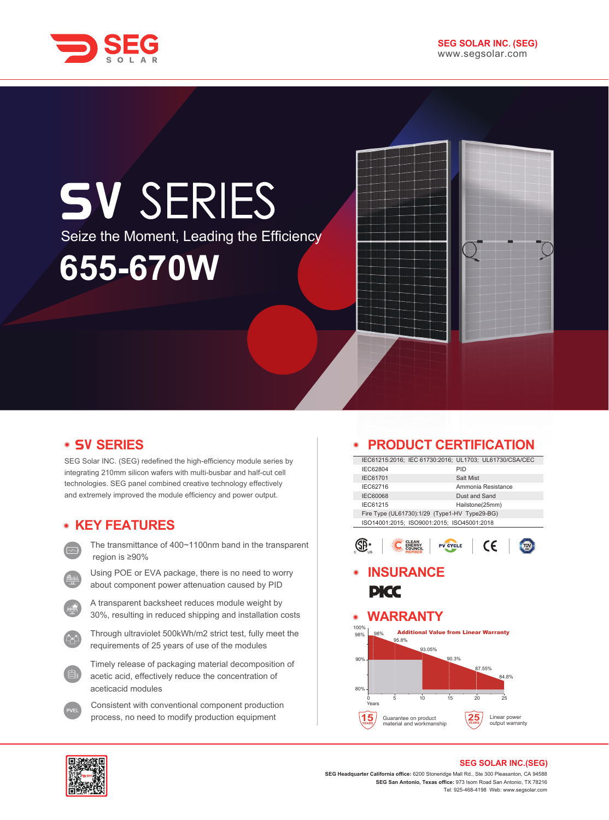

# **SV SERIES** Seize the Moment, Leading the Efficiency **655-670W**

# **• SV SERIES**

SEG Solar INC. (SEG) redefined the high-efficiency module series by integrating 210mm silicon wafers with multi-busbar and half-cut cell technologies. SEG panel combined creative technology effectively and extremely improved the module efficiency and power output.

## **KEY FEATURES**

- The transmittance of 400~1100nm band in the transparent region is ≥90%
- Using POE or EVA package, there is no need to worry about component power attenuation caused by PID
- A transparent backsheet reduces module weight by 30%, resulting in reduced shipping and installation costs
- Through ultraviolet 500kWh/m2 strict test, fully meet the requirements of 25 years of use of the modules
- Timely release of packaging material decomposition of acetic acid, effectively reduce the concentration of aceticacid modules
- Consistent with conventional component production process, no need to modify production equipment

#### **PRODUCT CERTIFICATION**  $\bullet$

|                 | IEC61215:2016; IEC 61730:2016; UL1703; UL61730/CSA/CEC |
|-----------------|--------------------------------------------------------|
| IEC62804        | PID                                                    |
| <b>IEC61701</b> | Salt Mist                                              |
| IEC62716        | Ammonia Resistance                                     |
| <b>IEC60068</b> | Dust and Sand                                          |
| IEC61215        | Hailstone(25mm)                                        |
|                 | Fire Type (UL61730):1/29 (Type1-HV Type29-BG)          |
|                 | ISO14001:2015: ISO9001:2015: ISO45001:2018             |



## **INSURANCE PICC**

#### **WARRANTY**  $\bullet$





#### **SEG SOLAR INC.(SEG)**

**SEG Headquarter California office:** 6200 Stoneridge Mall Rd., Ste 300 Pleasanton, CA 94588 **SEG San Antonio, Texas office:** 973 Isom Road San Antonio, TX 78216 Tel: 925-468-4198 Web: www.segsolar.com